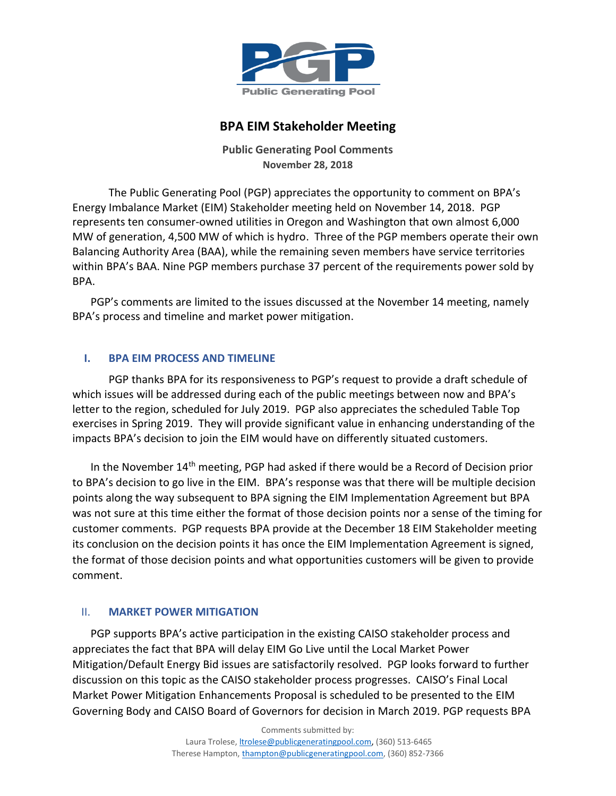

# **BPA EIM Stakeholder Meeting**

**Public Generating Pool Comments November 28, 2018**

The Public Generating Pool (PGP) appreciates the opportunity to comment on BPA's Energy Imbalance Market (EIM) Stakeholder meeting held on November 14, 2018. PGP represents ten consumer-owned utilities in Oregon and Washington that own almost 6,000 MW of generation, 4,500 MW of which is hydro. Three of the PGP members operate their own Balancing Authority Area (BAA), while the remaining seven members have service territories within BPA's BAA. Nine PGP members purchase 37 percent of the requirements power sold by BPA.

PGP's comments are limited to the issues discussed at the November 14 meeting, namely BPA's process and timeline and market power mitigation.

## **I. BPA EIM PROCESS AND TIMELINE**

PGP thanks BPA for its responsiveness to PGP's request to provide a draft schedule of which issues will be addressed during each of the public meetings between now and BPA's letter to the region, scheduled for July 2019. PGP also appreciates the scheduled Table Top exercises in Spring 2019. They will provide significant value in enhancing understanding of the impacts BPA's decision to join the EIM would have on differently situated customers.

In the November 14th meeting, PGP had asked if there would be a Record of Decision prior to BPA's decision to go live in the EIM. BPA's response was that there will be multiple decision points along the way subsequent to BPA signing the EIM Implementation Agreement but BPA was not sure at this time either the format of those decision points nor a sense of the timing for customer comments. PGP requests BPA provide at the December 18 EIM Stakeholder meeting its conclusion on the decision points it has once the EIM Implementation Agreement is signed, the format of those decision points and what opportunities customers will be given to provide comment.

### II. **MARKET POWER MITIGATION**

PGP supports BPA's active participation in the existing CAISO stakeholder process and appreciates the fact that BPA will delay EIM Go Live until the Local Market Power Mitigation/Default Energy Bid issues are satisfactorily resolved. PGP looks forward to further discussion on this topic as the CAISO stakeholder process progresses. CAISO's Final Local Market Power Mitigation Enhancements Proposal is scheduled to be presented to the EIM Governing Body and CAISO Board of Governors for decision in March 2019. PGP requests BPA